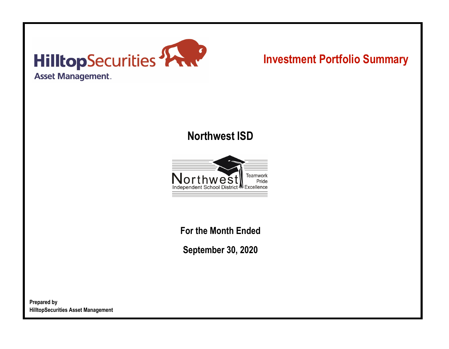

# **Investment Portfolio Summary**

## **Northwest ISD**



**For the Month Ended**

**September 30, 2020**

**Prepared by HilltopSecurities Asset Management**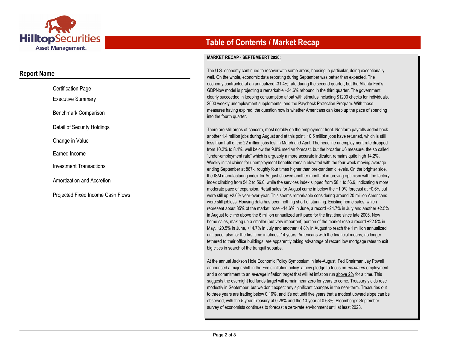

### **Report Name**

| <b>Certification Page</b>                |
|------------------------------------------|
| <b>Executive Summary</b>                 |
| Benchmark Comparison                     |
| Detail of Security Holdings              |
| Change in Value                          |
| Earned Income                            |
| <b>Investment Transactions</b>           |
| Amortization and Accretion               |
| <b>Projected Fixed Income Cash Flows</b> |

## **Table of Contents / Market Recap**

#### **MARKET RECAP - SEPTEMBERT 2020:**

The U.S. economy continued to recover with some areas, housing in particular, doing exceptionally well. On the whole, economic data reporting during September was better than expected. The economy contracted at an annualized -31.4% rate during the second quarter, but the Atlanta Fed's GDPNow model is projecting a remarkable +34.6% rebound in the third quarter. The government clearly succeeded in keeping consumption afloat with stimulus including \$1200 checks for individuals, \$600 weekly unemployment supplements, and the Paycheck Protection Program. With those measures having expired, the question now is whether Americans can keep up the pace of spending into the fourth quarter.

There are still areas of concern, most notably on the employment front. Nonfarm payrolls added back another 1.4 million jobs during August and at this point, 10.5 million jobs have returned, which is still less than half of the 22 million jobs lost in March and April. The headline unemployment rate dropped from 10.2% to 8.4%, well below the 9.8% median forecast, but the broader U6 measure, the so called "under-employment rate" which is arguably a more accurate indicator, remains quite high 14.2%. Weekly initial claims for unemployment benefits remain elevated with the four-week moving average ending September at 867k, roughly four times higher than pre-pandemic levels. On the brighter side, the ISM manufacturing index for August showed another month of improving optimism with the factory index climbing from 54.2 to 56.0, while the services index slipped from 58.1 to 56.9, indicating a more moderate pace of expansion. Retail sales for August came in below the +1.0% forecast at +0.6% but were still up +2.6% year-over-year. This seems remarkable considering around 20 million Americans were still jobless. Housing data has been nothing short of stunning. Existing home sales, which represent about 85% of the market, rose +14.6% in June, a record +24.7% in July and another +2.5% in August to climb above the 6 million annualized unit pace for the first time since late 2006. New home sales, making up a smaller (but very important) portion of the market rose a record +22.5% in May, +20.5% in June, +14.7% in July and another +4.8% in August to reach the 1 million annualized unit pace, also for the first time in almost 14 years. Americans with the financial means, no longer tethered to their office buildings, are apparently taking advantage of record low mortgage rates to exit big cities in search of the tranquil suburbs.

At the annual Jackson Hole Economic Policy Symposium in late-August, Fed Chairman Jay Powell announced a major shift in the Fed's inflation policy: a new pledge to focus on *maximum* employment and a commitment to an *average* inflation target that will let inflation run above 2% for a time. This suggests the overnight fed funds target will remain near zero for years to come. Treasury yields rose modestly in September, but we don't expect any significant changes in the near-term. Treasuries out to three years are trading below 0.16%, and it's not until five years that a modest upward slope can be observed, with the 5-year Treasury at 0.28% and the 10-year at 0.68%. Bloomberg's September survey of economists continues to forecast a zero-rate environment until at least 2023.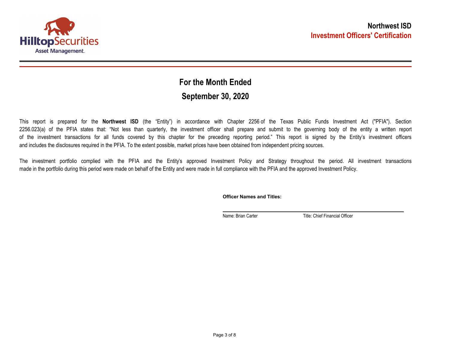

## **September 30, 2020 For the Month Ended**

This report is prepared for the **Northwest ISD** (the "Entity") in accordance with Chapter 2256 of the Texas Public Funds Investment Act ("PFIA"). Section 2256.023(a) of the PFIA states that: "Not less than quarterly, the investment officer shall prepare and submit to the governing body of the entity a written report of the investment transactions for all funds covered by this chapter for the preceding reporting period." This report is signed by the Entity's investment officers and includes the disclosures required in the PFIA. To the extent possible, market prices have been obtained from independent pricing sources.

The investment portfolio complied with the PFIA and the Entity's approved Investment Policy and Strategy throughout the period. All investment transactions made in the portfolio during this period were made on behalf of the Entity and were made in full compliance with the PFIA and the approved Investment Policy.

**Officer Names and Titles:**

Name: Brian Carter Title: Chief Financial Officer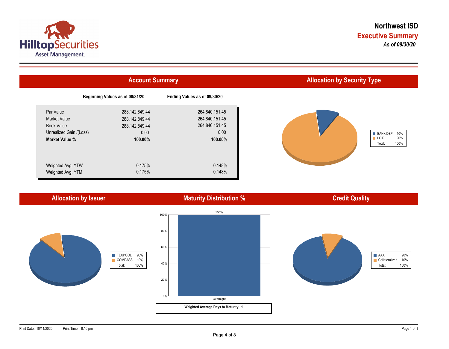



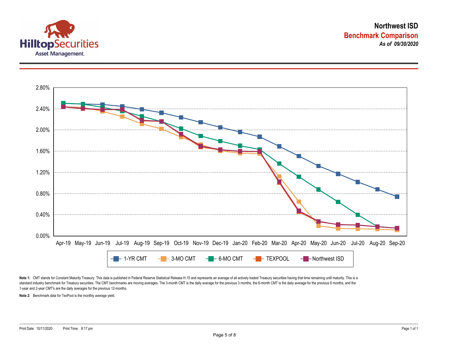



Note 1: CMT stands for Constant Maturity Treasury. This data is published in Federal Reserve Statistical Release H.15 and represents an average of all actively traded Treasury securities having that time remaining until ma standard industry benchmark for Treasury securities. The CMT benchmarks are moving averages. The 3-month CMT is the daily average for the previous 3 months, the 6-month CMT is the daily average for the previous 6 months, a 1-year and 2-year CMT's are the daily averages for the previous 12-months.

**Note 2:** Benchmark data for TexPool is the monthly average yield.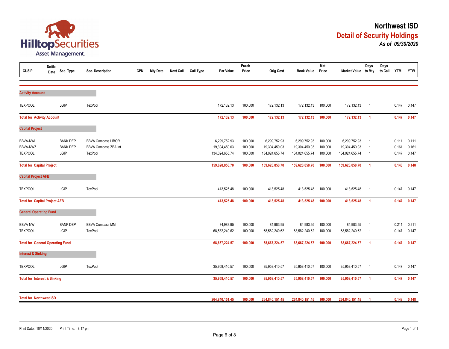

| <b>CUSIP</b>                                         | <b>Settle</b><br>Date | Sec. Type                                  | Sec. Description                                             | <b>CPN</b> | <b>Mty Date</b> | <b>Next Call</b> | <b>Call Type</b> | Par Value                                       | Purch<br>Price                | <b>Orig Cost</b>                                | <b>Book Value</b>                               | <b>Mkt</b><br>Price           | Market Value to Mty                             | Days                                   | Days<br>to Call YTM |                         | <b>YTW</b>              |
|------------------------------------------------------|-----------------------|--------------------------------------------|--------------------------------------------------------------|------------|-----------------|------------------|------------------|-------------------------------------------------|-------------------------------|-------------------------------------------------|-------------------------------------------------|-------------------------------|-------------------------------------------------|----------------------------------------|---------------------|-------------------------|-------------------------|
| <b>Activity Account</b>                              |                       |                                            |                                                              |            |                 |                  |                  |                                                 |                               |                                                 |                                                 |                               |                                                 |                                        |                     |                         |                         |
| <b>TEXPOOL</b>                                       |                       | LGIP                                       | TexPool                                                      |            |                 |                  |                  | 172,132.13                                      | 100.000                       | 172,132.13                                      | 172,132.13                                      | 100.000                       | 172,132.13                                      | $\overline{1}$                         |                     | 0.147                   | 0.147                   |
| <b>Total for Activity Account</b>                    |                       |                                            |                                                              |            |                 |                  |                  | 172,132.13                                      | 100.000                       | 172,132.13                                      | 172,132.13                                      | 100.000                       | 172,132.13                                      | $\overline{1}$                         |                     | 0.147                   | 0.147                   |
| <b>Capital Project</b>                               |                       |                                            |                                                              |            |                 |                  |                  |                                                 |                               |                                                 |                                                 |                               |                                                 |                                        |                     |                         |                         |
| <b>BBVA-NWL</b><br><b>BBVA-NWZ</b><br><b>TEXPOOL</b> |                       | <b>BANK DEP</b><br><b>BANK DEP</b><br>LGIP | <b>BBVA Compass LIBOR</b><br>BBVA Compass ZBA Int<br>TexPool |            |                 |                  |                  | 6,299,752.93<br>19,304,450.03<br>134,024,655.74 | 100.000<br>100.000<br>100.000 | 6,299,752.93<br>19,304,450.03<br>134,024,655.74 | 6,299,752.93<br>19,304,450.03<br>134,024,655.74 | 100.000<br>100.000<br>100.000 | 6,299,752.93<br>19,304,450.03<br>134,024,655.74 | $\overline{1}$<br>$\overline{1}$<br>-1 |                     | 0.111<br>0.161<br>0.147 | 0.111<br>0.161<br>0.147 |
| <b>Total for Capital Project</b>                     |                       |                                            |                                                              |            |                 |                  |                  | 159,628,858.70                                  | 100.000                       | 159,628,858.70                                  | 159,628,858.70                                  | 100.000                       | 159,628,858.70                                  | $\overline{1}$                         |                     | 0.148                   | 0.148                   |
| <b>Capital Project AFB</b>                           |                       |                                            |                                                              |            |                 |                  |                  |                                                 |                               |                                                 |                                                 |                               |                                                 |                                        |                     |                         |                         |
| <b>TEXPOOL</b>                                       |                       | LGIP                                       | <b>TexPool</b>                                               |            |                 |                  |                  | 413,525.48                                      | 100.000                       | 413,525.48                                      | 413,525.48                                      | 100.000                       | 413,525.48                                      | $\overline{1}$                         |                     | 0.147                   | 0.147                   |
| <b>Total for Capital Project AFB</b>                 |                       |                                            |                                                              |            |                 |                  |                  | 413,525.48                                      | 100.000                       | 413,525.48                                      | 413,525.48                                      | 100.000                       | 413,525.48                                      | $\overline{1}$                         |                     | 0.147                   | 0.147                   |
| <b>General Operating Fund</b>                        |                       |                                            |                                                              |            |                 |                  |                  |                                                 |                               |                                                 |                                                 |                               |                                                 |                                        |                     |                         |                         |
| <b>BBVA-NW</b><br><b>TEXPOOL</b>                     |                       | <b>BANK DEP</b><br>LGIP                    | <b>BBVA Compass MM</b><br>TexPool                            |            |                 |                  |                  | 84,983.95<br>68,582,240.62                      | 100.000<br>100.000            | 84,983.95<br>68,582,240.62                      | 84,983.95<br>68,582,240.62                      | 100.000<br>100.000            | 84,983.95<br>68,582,240.62                      | $\overline{1}$<br>-1                   |                     | 0.211<br>0.147          | 0.211<br>0.147          |
| <b>Total for General Operating Fund</b>              |                       |                                            |                                                              |            |                 |                  |                  | 68,667,224.57                                   | 100.000                       | 68,667,224.57                                   | 68,667,224.57                                   | 100.000                       | 68,667,224.57                                   | $\overline{1}$                         |                     | 0.147                   | 0.147                   |
| <b>Interest &amp; Sinking</b>                        |                       |                                            |                                                              |            |                 |                  |                  |                                                 |                               |                                                 |                                                 |                               |                                                 |                                        |                     |                         |                         |
| <b>TEXPOOL</b>                                       |                       | LGIP                                       | <b>TexPool</b>                                               |            |                 |                  |                  | 35,958,410.57                                   | 100.000                       | 35,958,410.57                                   | 35,958,410.57                                   | 100.000                       | 35,958,410.57                                   | $\overline{1}$                         |                     | 0.147                   | 0.147                   |
| <b>Total for Interest &amp; Sinking</b>              |                       |                                            |                                                              |            |                 |                  |                  | 35,958,410.57                                   | 100.000                       | 35,958,410.57                                   | 35,958,410.57                                   | 100.000                       | 35,958,410.57                                   | $\overline{1}$                         |                     | 0.147                   | 0.147                   |
| <b>Total for Northwest ISD</b>                       |                       |                                            |                                                              |            |                 |                  |                  | 264,840,151.45                                  | 100.000                       | 264,840,151.45                                  | 264,840,151.45                                  | 100.000                       | 264,840,151.45                                  |                                        |                     | 0.148                   | 0.148                   |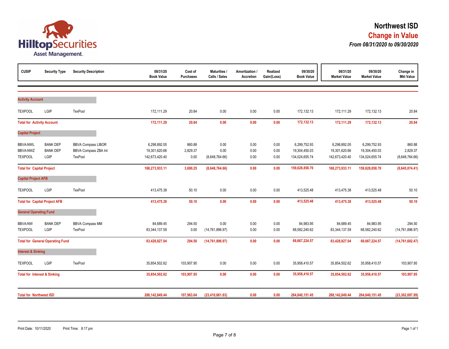

| <b>CUSIP</b>                                  | <b>Security Type</b>                       | <b>Security Description</b>                                  | 08/31/20<br><b>Book Value</b>                   | Cost of<br><b>Purchases</b> | Maturities /<br>Calls / Sales  | Amortization /<br>Accretion | Realized<br>Gain/(Loss) | 09/30/20<br><b>Book Value</b>                   | 08/31/20<br><b>Market Value</b>                 | 09/30/20<br><b>Market Value</b>                 | Change in<br><b>Mkt Value</b>        |
|-----------------------------------------------|--------------------------------------------|--------------------------------------------------------------|-------------------------------------------------|-----------------------------|--------------------------------|-----------------------------|-------------------------|-------------------------------------------------|-------------------------------------------------|-------------------------------------------------|--------------------------------------|
| <b>Activity Account</b>                       |                                            |                                                              |                                                 |                             |                                |                             |                         |                                                 |                                                 |                                                 |                                      |
| <b>TEXPOOL</b>                                | LGIP                                       | TexPool                                                      | 172,111.29                                      | 20.84                       | 0.00                           | 0.00                        | 0.00                    | 172,132.13                                      | 172,111.29                                      | 172,132.13                                      | 20.84                                |
| <b>Total for Activity Account</b>             |                                            |                                                              | 172,111.29                                      | 20.84                       | 0.00                           | 0.00                        | 0.00                    | 172,132.13                                      | 172,111.29                                      | 172,132.13                                      | 20.84                                |
| <b>Capital Project</b>                        |                                            |                                                              |                                                 |                             |                                |                             |                         |                                                 |                                                 |                                                 |                                      |
| <b>BBVA-NWL</b><br>BBVA-NWZ<br><b>TEXPOOL</b> | <b>BANK DEP</b><br><b>BANK DEP</b><br>LGIP | <b>BBVA Compass LIBOR</b><br>BBVA Compass ZBA Int<br>TexPool | 6,298,892.05<br>19,301,620.66<br>142,673,420.40 | 860.88<br>2,829.37<br>0.00  | 0.00<br>0.00<br>(8,648,764.66) | 0.00<br>0.00<br>0.00        | 0.00<br>0.00<br>0.00    | 6,299,752.93<br>19,304,450.03<br>134,024,655.74 | 6,298,892.05<br>19,301,620.66<br>142,673,420.40 | 6,299,752.93<br>19,304,450.03<br>134,024,655.74 | 860.88<br>2,829.37<br>(8,648,764.66) |
| <b>Total for Capital Project</b>              |                                            |                                                              | 168,273,933.11                                  | 3,690.25                    | (8,648,764.66)                 | 0.00                        | 0.00                    | 159,628,858.70                                  | 168,273,933.11                                  | 159,628,858.70                                  | (8,645,074.41)                       |
| <b>Capital Project AFB</b>                    |                                            |                                                              |                                                 |                             |                                |                             |                         |                                                 |                                                 |                                                 |                                      |
| <b>TEXPOOL</b>                                | LGIP                                       | TexPool                                                      | 413,475.38                                      | 50.10                       | 0.00                           | 0.00                        | 0.00                    | 413,525.48                                      | 413,475.38                                      | 413,525.48                                      | 50.10                                |
|                                               | <b>Total for Capital Project AFB</b>       |                                                              | 413,475.38                                      | 50.10                       | 0.00                           | 0.00                        | 0.00                    | 413,525.48                                      | 413,475.38                                      | 413,525.48                                      | 50.10                                |
| <b>General Operating Fund</b>                 |                                            |                                                              |                                                 |                             |                                |                             |                         |                                                 |                                                 |                                                 |                                      |
| <b>BBVA-NW</b><br><b>TEXPOOL</b>              | <b>BANK DEP</b><br>LGIP                    | <b>BBVA Compass MM</b><br>TexPool                            | 84,689.45<br>83,344,137.59                      | 294.50<br>0.00              | 0.00<br>(14, 761, 896.97)      | 0.00<br>0.00                | 0.00<br>0.00            | 84,983.95<br>68,582,240.62                      | 84,689.45<br>83,344,137.59                      | 84,983.95<br>68,582,240.62                      | 294.50<br>(14, 761, 896.97)          |
|                                               | <b>Total for General Operating Fund</b>    |                                                              | 83,428,827.04                                   | 294.50                      | (14, 761, 896.97)              | 0.00                        | 0.00                    | 68,667,224.57                                   | 83,428,827.04                                   | 68,667,224.57                                   | (14, 761, 602.47)                    |
| <b>Interest &amp; Sinking</b>                 |                                            |                                                              |                                                 |                             |                                |                             |                         |                                                 |                                                 |                                                 |                                      |
| <b>TEXPOOL</b>                                | LGIP                                       | TexPool                                                      | 35,854,502.62                                   | 103,907.95                  | 0.00                           | 0.00                        | 0.00                    | 35,958,410.57                                   | 35,854,502.62                                   | 35,958,410.57                                   | 103,907.95                           |
| <b>Total for Interest &amp; Sinking</b>       |                                            |                                                              | 35,854,502.62                                   | 103,907.95                  | 0.00                           | 0.00                        | 0.00                    | 35,958,410.57                                   | 35,854,502.62                                   | 35,958,410.57                                   | 103,907.95                           |
| <b>Total for Northwest ISD</b>                |                                            |                                                              | 288,142,849.44                                  | 107,963.64                  | (23, 410, 661.63)              | 0.00                        | 0.00                    | 264,840,151.45                                  | 288,142,849.44                                  | 264,840,151.45                                  | (23, 302, 697.99)                    |